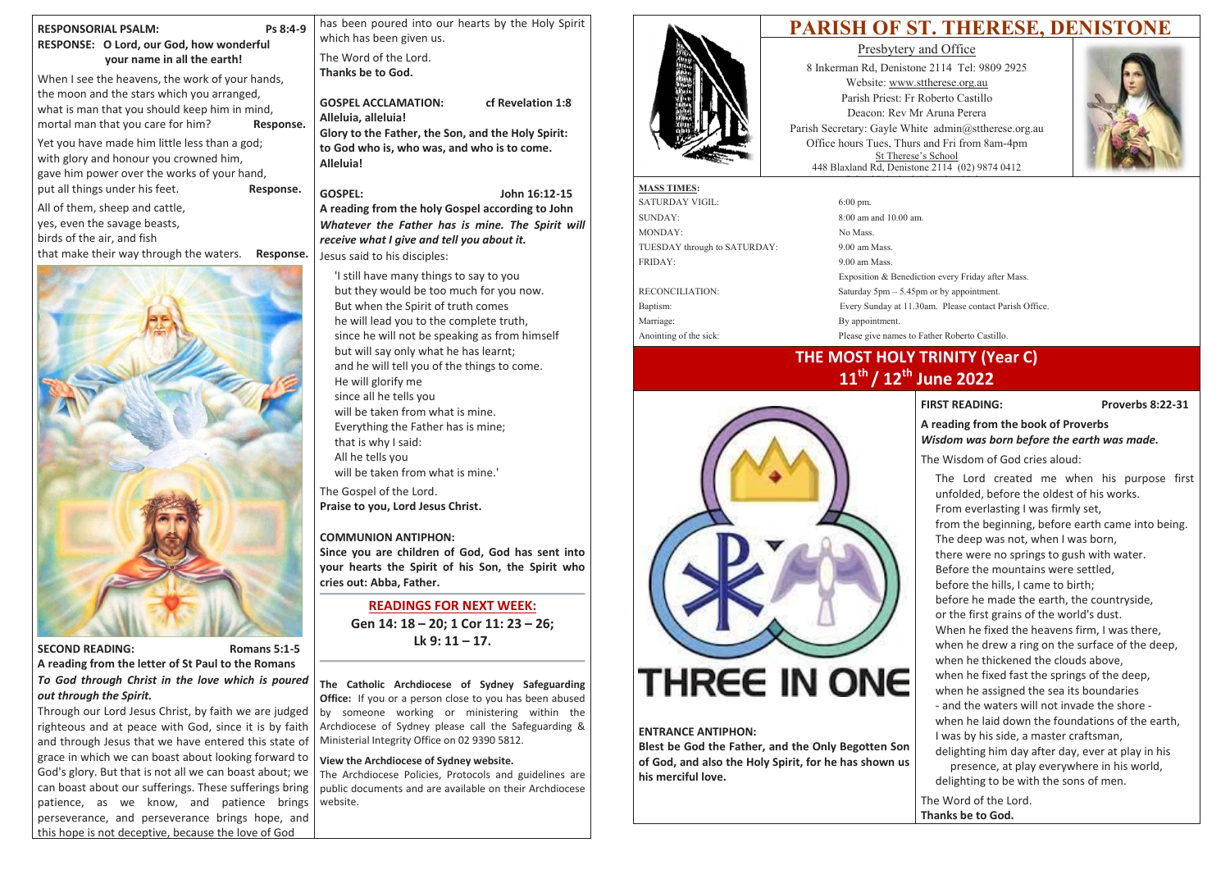## **PARISH OF ST. THERESE, DENISTONE**

Presbytery and Office



8 Inkerman Rd, Denistone 2114 Tel: 9809 2925 Website: www.sttherese.org.au Parish Priest: Fr Roberto Castillo Deacon: Rev Mr Aruna Perera Parish Secretary: Gayle White admin@sttherese.org.au Office hours Tues, Thurs and Fri from 8am-4pm St Therese's School 448 Blaxland Rd, Denistone 2114 (02) 9874 0412

| <b>MASS TIMES:</b>           |                                                            |
|------------------------------|------------------------------------------------------------|
| <b>SATURDAY VIGIL:</b>       | $6:00 \text{ pm}$ .                                        |
| SUNDAY:                      | $8:00$ am and $10.00$ am.                                  |
| MONDAY:                      | No Mass.                                                   |
| TUESDAY through to SATURDAY: | $9.00$ am Mass.                                            |
| FRIDAY:                      | $9.00$ am Mass.                                            |
|                              | Exposition & Benediction every Friday after Mass.          |
| <b>RECONCILIATION:</b>       | Saturday $5 \text{pm} - 5.45 \text{pm}$ or by appointment. |
| Baptism:                     | Every Sunday at 11.30am. Please contact Parish Office.     |
| Marriage:                    | By appointment.                                            |
| Anointing of the sick:       | Please give names to Father Roberto Castillo.              |

## **THE MOST HOLY TRINITY (Year C) 11th / 12th June 2022**



### **ENTRANCE ANTIPHON:**

**Blest be God the Father, and the Only Begotten Son of God, and also the Holy Spirit, for he has shown us his merciful love.**

**FIRST READING: Proverbs 8:22-31**

#### **A reading from the book of Proverbs** *Wisdom was born before the earth was made.*

The Wisdom of God cries aloud:

The Lord created me when his purpose first unfolded, before the oldest of his works. From everlasting I was firmly set, from the beginning, before earth came into being. The deep was not, when I was born, there were no springs to gush with water. Before the mountains were settled, before the hills, I came to birth; before he made the earth, the countryside, or the first grains of the world's dust. When he fixed the heavens firm, I was there, when he drew a ring on the surface of the deep, when he thickened the clouds above, when he fixed fast the springs of the deep. when he assigned the sea its boundaries - and the waters will not invade the shore when he laid down the foundations of the earth. I was by his side, a master craftsman, delighting him day after day, ever at play in his presence, at play everywhere in his world, delighting to be with the sons of men. The Word of the Lord. **Thanks be to God.**

**Aluia! e Father, the Son, and the Holy Spirit: to God who is, who was, and who is to come.**

John 16:12-15

rom the holy Gospel according to John the Father has is mine. The Spirit will *receive what I give and tell you about it.* o his disciples:

**SECOND READING: Romans 5:1-5**

## **A reading from the letter of St Paul to the Romans** *To God through Christ in the love which is poured out through the Spirit.*

| Ps 8:4-9<br><b>RESPONSORIAL PSALM:</b><br>RESPONSE: O Lord, our God, how wonderful                                                            | has been p<br>which has b                                         |  |
|-----------------------------------------------------------------------------------------------------------------------------------------------|-------------------------------------------------------------------|--|
| your name in all the earth!                                                                                                                   | The Word o                                                        |  |
| When I see the heavens, the work of your hands,                                                                                               | Thanks be t<br><b>GOSPEL AC</b><br>Alleluia, alle<br>Glory to the |  |
| the moon and the stars which you arranged,<br>what is man that you should keep him in mind,<br>mortal man that you care for him?<br>Response. |                                                                   |  |
| Yet you have made him little less than a god;<br>with glory and honour you crowned him,<br>gave him power over the works of your hand,        | to God who<br>Alleluia!                                           |  |
| put all things under his feet.<br>Response.                                                                                                   | <b>GOSPEL:</b>                                                    |  |
| All of them, sheep and cattle,<br>yes, even the savage beasts,                                                                                | A reading fr<br>Whatever t                                        |  |
| birds of the air, and fish<br>that make their way through the waters.                                                                         | receive who                                                       |  |
| Response.                                                                                                                                     | Jesus said to                                                     |  |



Through our Lord Jesus Christ, by faith we are judged righteous and at peace with God, since it is by faith and through Jesus that we have entered this state of grace in which we can boast about looking forward to God's glory. But that is not all we can boast about; we can boast about our sufferings. These sufferings bring patience, as we know, and patience brings perseverance, and perseverance brings hope, and this hope is not deceptive, because the love of God

oured into our hearts by the Holy Spirit been given us. of the Lord. to God.

**CLAMATION:** cf Revelation 1:8

'I still have many things to say to you but they would be too much for you now. But when the Spirit of truth comes he will lead you to the complete truth, since he will not be speaking as from himself but will say only what he has learnt; and he will tell you of the things to come. He will glorify me since all he tells you will be taken from what is mine. Everything the Father has is mine; that is why I said: All he tells you will be taken from what is mine.'

The Gospel of the Lord. **Praise to you, Lord Jesus Christ.**

### **COMMUNION ANTIPHON:**

**Since you are children of God, God has sent into your hearts the Spirit of his Son, the Spirit who cries out: Abba, Father.**

> **READINGS FOR NEXT WEEK: Gen 14: 18 – 20; 1 Cor 11: 23 – 26; Lk 9: 11 – 17.**

**The Catholic Archdiocese of Sydney Safeguarding Office:** If you or a person close to you has been abused by someone working or ministering within the Archdiocese of Sydney please call the Safeguarding & Ministerial Integrity Office on 02 9390 5812.

#### **View the Archdiocese of Sydney website.**

The Archdiocese Policies, Protocols and guidelines are public documents and are available on their Archdiocese website.